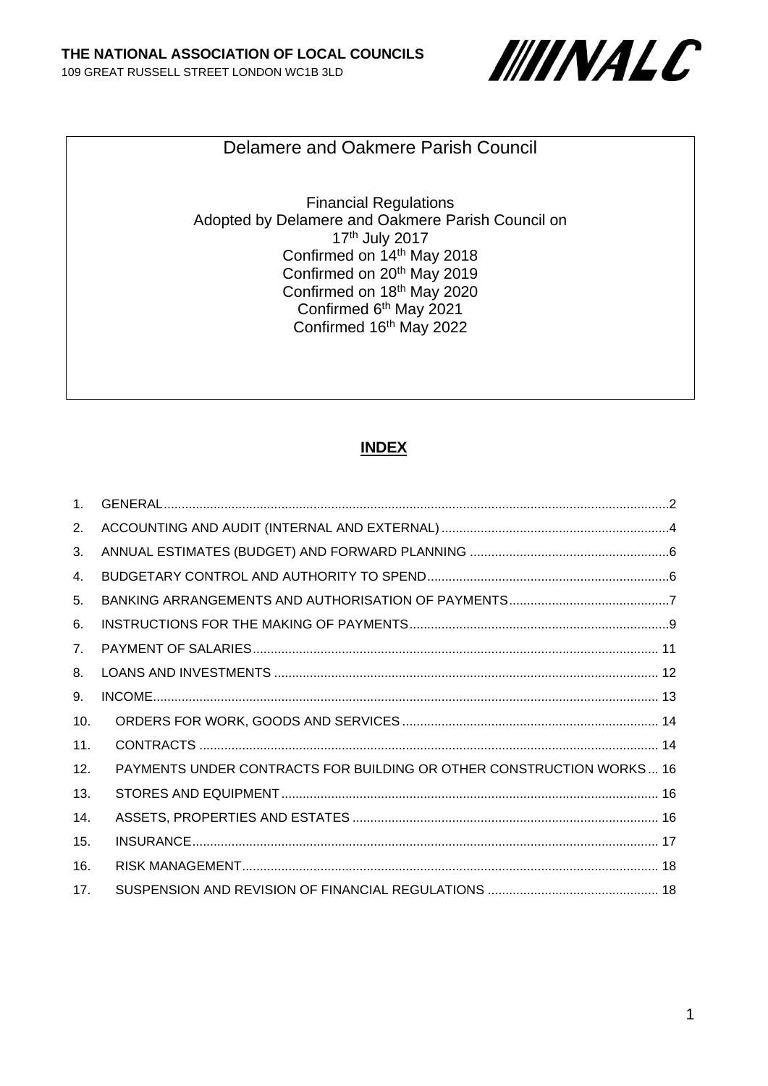

Delamere and Oakmere Parish Council

Financial Regulations Adopted by Delamere and Oakmere Parish Council on 17th July 2017 Confirmed on 14th May 2018 Confirmed on 20th May 2019 Confirmed on 18<sup>th</sup> May 2020 Confirmed 6th May 2021 Confirmed 16<sup>th</sup> May 2022

#### **INDEX**

| PAYMENTS UNDER CONTRACTS FOR BUILDING OR OTHER CONSTRUCTION WORKS 16 |  |
|----------------------------------------------------------------------|--|
|                                                                      |  |
|                                                                      |  |
|                                                                      |  |
|                                                                      |  |
|                                                                      |  |
|                                                                      |  |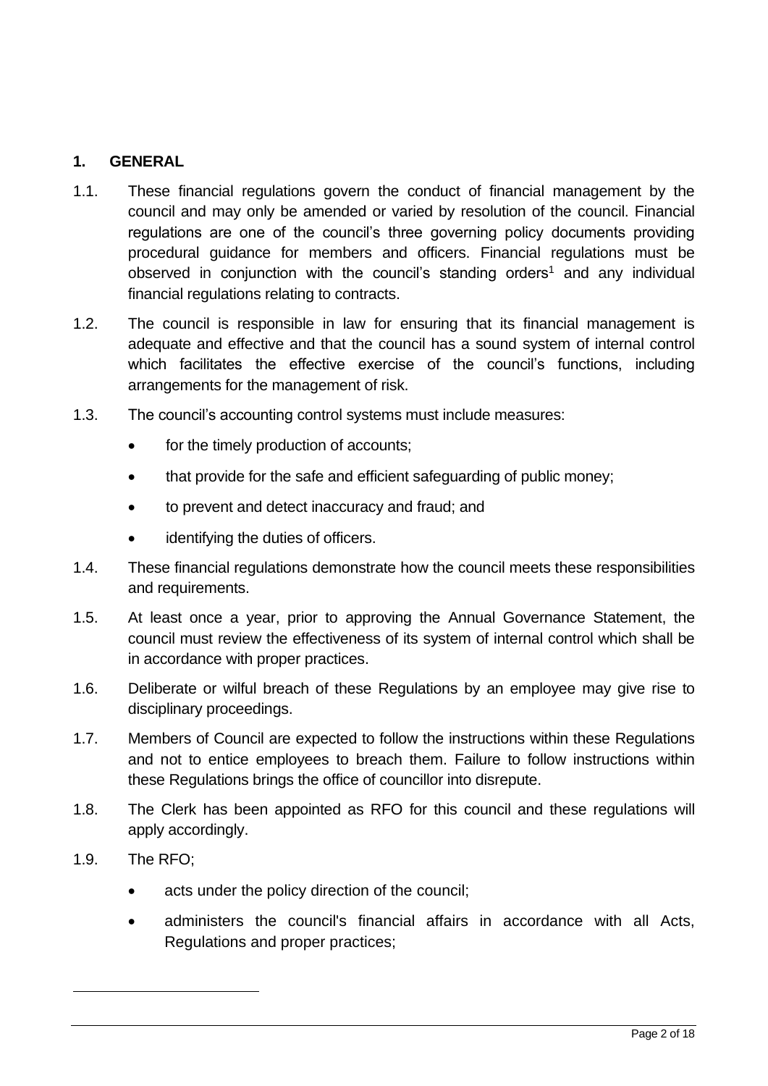## <span id="page-1-0"></span>**1. GENERAL**

- 1.1. These financial regulations govern the conduct of financial management by the council and may only be amended or varied by resolution of the council. Financial regulations are one of the council's three governing policy documents providing procedural guidance for members and officers. Financial regulations must be observed in conjunction with the council's standing orders<sup>1</sup> and any individual financial regulations relating to contracts.
- 1.2. The council is responsible in law for ensuring that its financial management is adequate and effective and that the council has a sound system of internal control which facilitates the effective exercise of the council's functions, including arrangements for the management of risk.
- 1.3. The council's accounting control systems must include measures:
	- for the timely production of accounts;
	- that provide for the safe and efficient safeguarding of public money;
	- to prevent and detect inaccuracy and fraud; and
	- identifying the duties of officers.
- 1.4. These financial regulations demonstrate how the council meets these responsibilities and requirements.
- 1.5. At least once a year, prior to approving the Annual Governance Statement, the council must review the effectiveness of its system of internal control which shall be in accordance with proper practices.
- 1.6. Deliberate or wilful breach of these Regulations by an employee may give rise to disciplinary proceedings.
- 1.7. Members of Council are expected to follow the instructions within these Regulations and not to entice employees to breach them. Failure to follow instructions within these Regulations brings the office of councillor into disrepute.
- 1.8. The Clerk has been appointed as RFO for this council and these regulations will apply accordingly.
- 1.9. The RFO;
	- acts under the policy direction of the council;
	- administers the council's financial affairs in accordance with all Acts, Regulations and proper practices;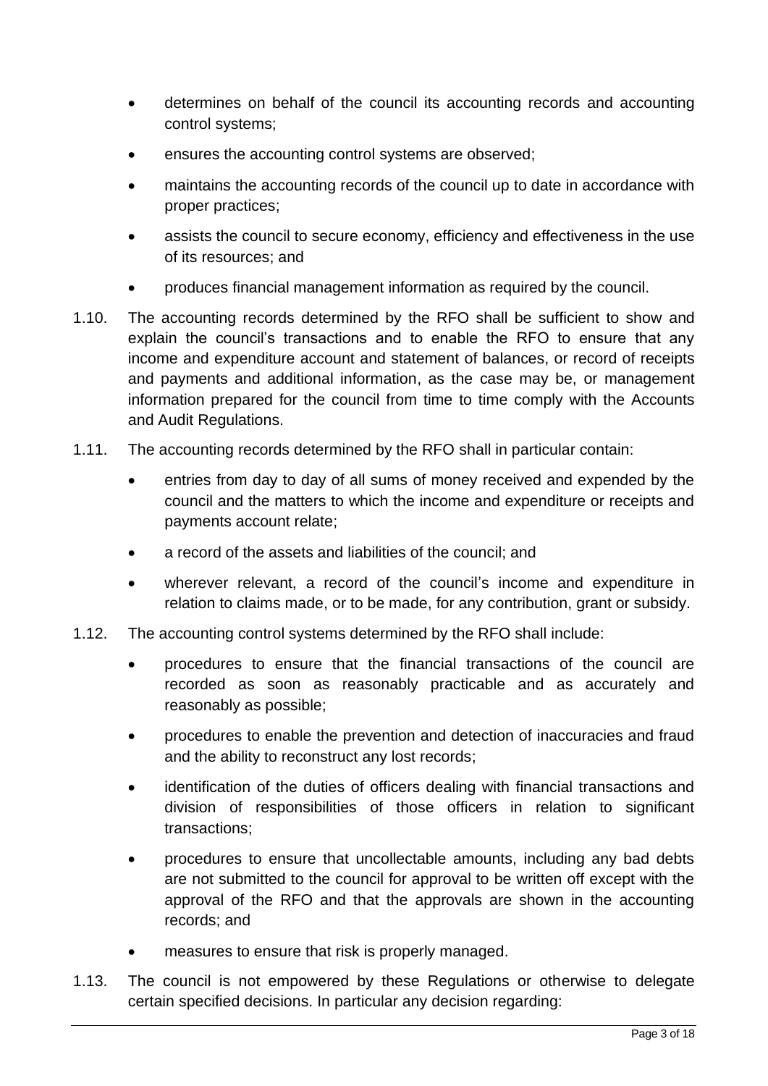- determines on behalf of the council its accounting records and accounting control systems;
- ensures the accounting control systems are observed;
- maintains the accounting records of the council up to date in accordance with proper practices;
- assists the council to secure economy, efficiency and effectiveness in the use of its resources; and
- produces financial management information as required by the council.
- 1.10. The accounting records determined by the RFO shall be sufficient to show and explain the council's transactions and to enable the RFO to ensure that any income and expenditure account and statement of balances, or record of receipts and payments and additional information, as the case may be, or management information prepared for the council from time to time comply with the Accounts and Audit Regulations.
- 1.11. The accounting records determined by the RFO shall in particular contain:
	- entries from day to day of all sums of money received and expended by the council and the matters to which the income and expenditure or receipts and payments account relate;
	- a record of the assets and liabilities of the council; and
	- wherever relevant, a record of the council's income and expenditure in relation to claims made, or to be made, for any contribution, grant or subsidy.
- 1.12. The accounting control systems determined by the RFO shall include:
	- procedures to ensure that the financial transactions of the council are recorded as soon as reasonably practicable and as accurately and reasonably as possible;
	- procedures to enable the prevention and detection of inaccuracies and fraud and the ability to reconstruct any lost records;
	- identification of the duties of officers dealing with financial transactions and division of responsibilities of those officers in relation to significant transactions;
	- procedures to ensure that uncollectable amounts, including any bad debts are not submitted to the council for approval to be written off except with the approval of the RFO and that the approvals are shown in the accounting records; and
	- measures to ensure that risk is properly managed.
- 1.13. The council is not empowered by these Regulations or otherwise to delegate certain specified decisions. In particular any decision regarding: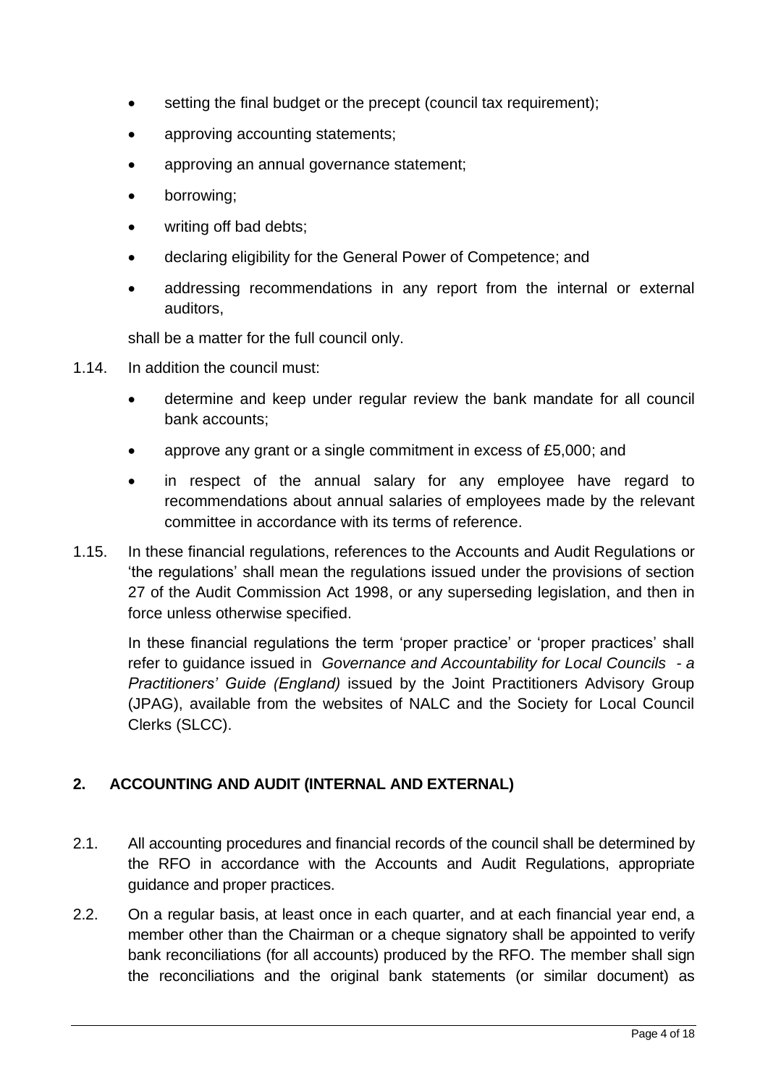- setting the final budget or the precept (council tax requirement);
- approving accounting statements;
- approving an annual governance statement;
- borrowing;
- writing off bad debts;
- declaring eligibility for the General Power of Competence; and
- addressing recommendations in any report from the internal or external auditors,

shall be a matter for the full council only.

- 1.14. In addition the council must:
	- determine and keep under regular review the bank mandate for all council bank accounts;
	- approve any grant or a single commitment in excess of £5,000; and
	- in respect of the annual salary for any employee have regard to recommendations about annual salaries of employees made by the relevant committee in accordance with its terms of reference.
- 1.15. In these financial regulations, references to the Accounts and Audit Regulations or 'the regulations' shall mean the regulations issued under the provisions of section 27 of the Audit Commission Act 1998, or any superseding legislation, and then in force unless otherwise specified.

In these financial regulations the term 'proper practice' or 'proper practices' shall refer to guidance issued in *Governance and Accountability for Local Councils - a Practitioners' Guide (England)* issued by the Joint Practitioners Advisory Group (JPAG), available from the websites of NALC and the Society for Local Council Clerks (SLCC).

## <span id="page-3-0"></span>**2. ACCOUNTING AND AUDIT (INTERNAL AND EXTERNAL)**

- 2.1. All accounting procedures and financial records of the council shall be determined by the RFO in accordance with the Accounts and Audit Regulations, appropriate guidance and proper practices.
- 2.2. On a regular basis, at least once in each quarter, and at each financial year end, a member other than the Chairman or a cheque signatory shall be appointed to verify bank reconciliations (for all accounts) produced by the RFO. The member shall sign the reconciliations and the original bank statements (or similar document) as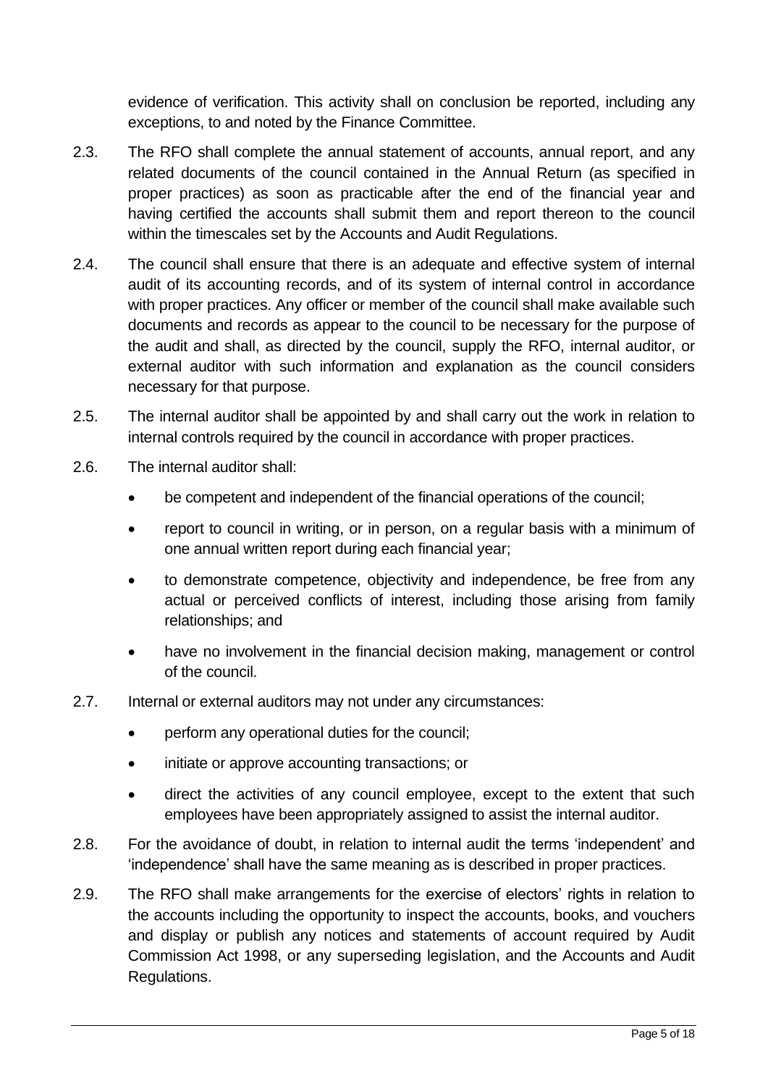evidence of verification. This activity shall on conclusion be reported, including any exceptions, to and noted by the Finance Committee.

- 2.3. The RFO shall complete the annual statement of accounts, annual report, and any related documents of the council contained in the Annual Return (as specified in proper practices) as soon as practicable after the end of the financial year and having certified the accounts shall submit them and report thereon to the council within the timescales set by the Accounts and Audit Regulations.
- 2.4. The council shall ensure that there is an adequate and effective system of internal audit of its accounting records, and of its system of internal control in accordance with proper practices. Any officer or member of the council shall make available such documents and records as appear to the council to be necessary for the purpose of the audit and shall, as directed by the council, supply the RFO, internal auditor, or external auditor with such information and explanation as the council considers necessary for that purpose.
- 2.5. The internal auditor shall be appointed by and shall carry out the work in relation to internal controls required by the council in accordance with proper practices.
- 2.6. The internal auditor shall:
	- be competent and independent of the financial operations of the council;
	- report to council in writing, or in person, on a regular basis with a minimum of one annual written report during each financial year;
	- to demonstrate competence, objectivity and independence, be free from any actual or perceived conflicts of interest, including those arising from family relationships; and
	- have no involvement in the financial decision making, management or control of the council.
- 2.7. Internal or external auditors may not under any circumstances:
	- perform any operational duties for the council;
	- initiate or approve accounting transactions; or
	- direct the activities of any council employee, except to the extent that such employees have been appropriately assigned to assist the internal auditor.
- 2.8. For the avoidance of doubt, in relation to internal audit the terms 'independent' and 'independence' shall have the same meaning as is described in proper practices.
- 2.9. The RFO shall make arrangements for the exercise of electors' rights in relation to the accounts including the opportunity to inspect the accounts, books, and vouchers and display or publish any notices and statements of account required by Audit Commission Act 1998, or any superseding legislation, and the Accounts and Audit Regulations.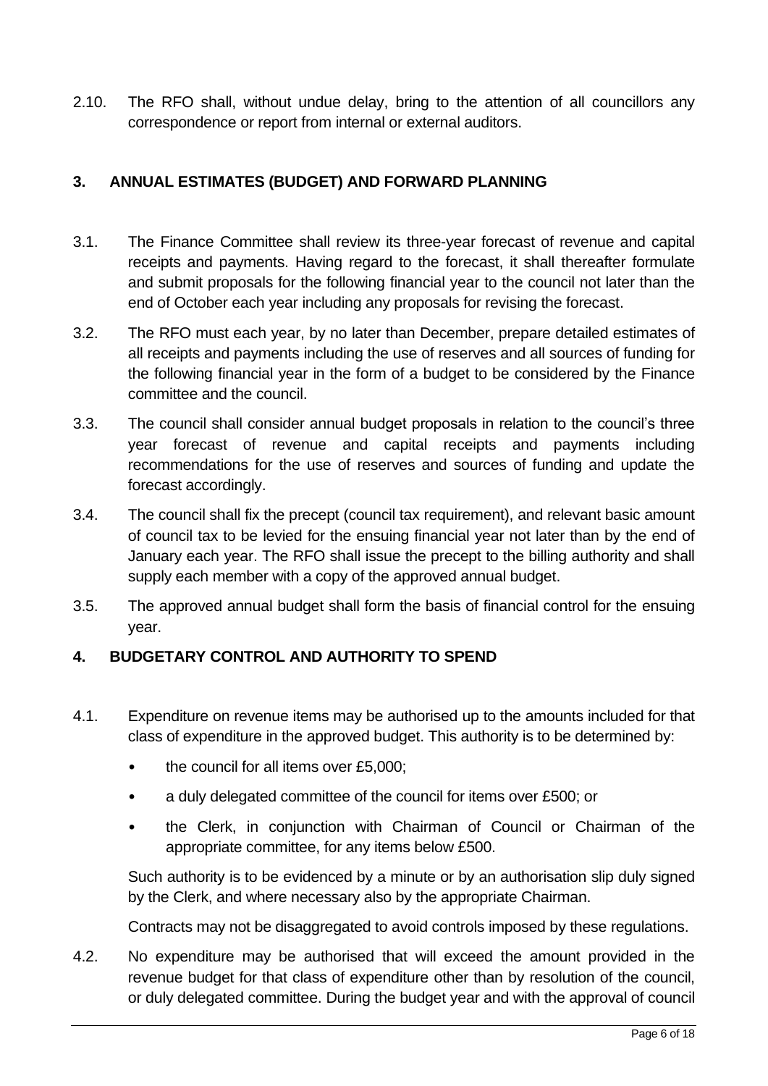2.10. The RFO shall, without undue delay, bring to the attention of all councillors any correspondence or report from internal or external auditors.

# <span id="page-5-0"></span>**3. ANNUAL ESTIMATES (BUDGET) AND FORWARD PLANNING**

- 3.1. The Finance Committee shall review its three-year forecast of revenue and capital receipts and payments. Having regard to the forecast, it shall thereafter formulate and submit proposals for the following financial year to the council not later than the end of October each year including any proposals for revising the forecast.
- 3.2. The RFO must each year, by no later than December, prepare detailed estimates of all receipts and payments including the use of reserves and all sources of funding for the following financial year in the form of a budget to be considered by the Finance committee and the council.
- 3.3. The council shall consider annual budget proposals in relation to the council's three year forecast of revenue and capital receipts and payments including recommendations for the use of reserves and sources of funding and update the forecast accordingly.
- 3.4. The council shall fix the precept (council tax requirement), and relevant basic amount of council tax to be levied for the ensuing financial year not later than by the end of January each year. The RFO shall issue the precept to the billing authority and shall supply each member with a copy of the approved annual budget.
- 3.5. The approved annual budget shall form the basis of financial control for the ensuing year.

### <span id="page-5-1"></span>**4. BUDGETARY CONTROL AND AUTHORITY TO SPEND**

- 4.1. Expenditure on revenue items may be authorised up to the amounts included for that class of expenditure in the approved budget. This authority is to be determined by:
	- the council for all items over £5,000;
	- a duly delegated committee of the council for items over £500; or
	- the Clerk, in conjunction with Chairman of Council or Chairman of the appropriate committee, for any items below £500.

Such authority is to be evidenced by a minute or by an authorisation slip duly signed by the Clerk, and where necessary also by the appropriate Chairman.

Contracts may not be disaggregated to avoid controls imposed by these regulations.

4.2. No expenditure may be authorised that will exceed the amount provided in the revenue budget for that class of expenditure other than by resolution of the council, or duly delegated committee. During the budget year and with the approval of council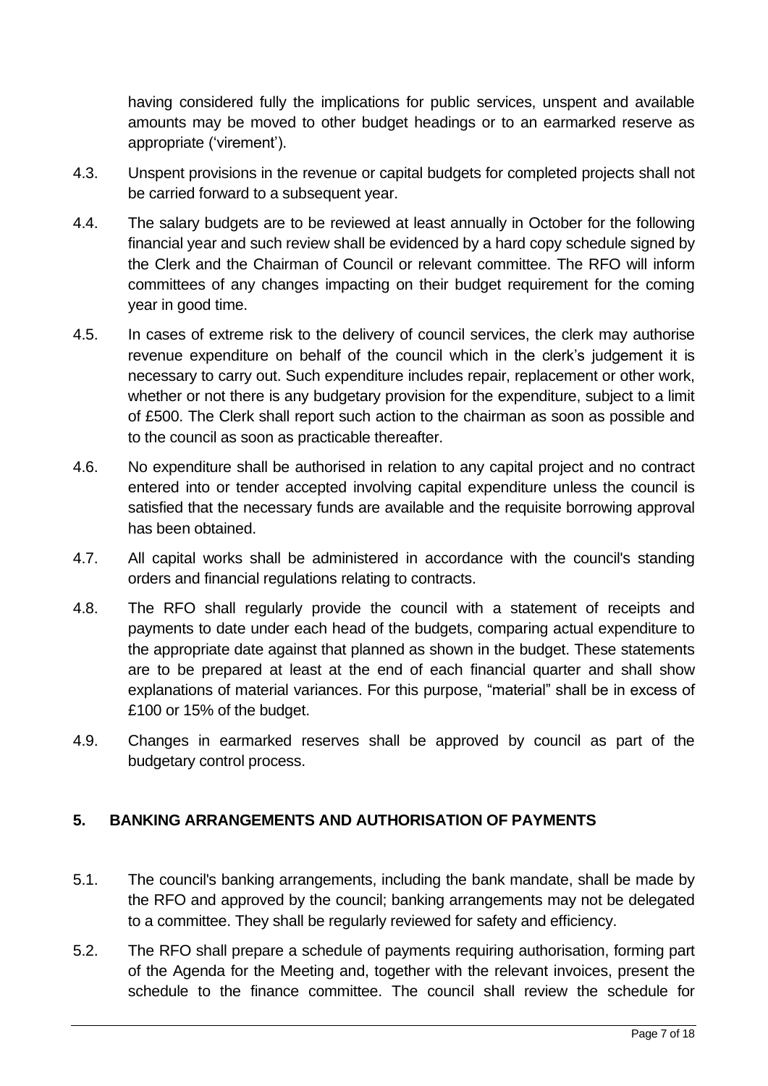having considered fully the implications for public services, unspent and available amounts may be moved to other budget headings or to an earmarked reserve as appropriate ('virement').

- 4.3. Unspent provisions in the revenue or capital budgets for completed projects shall not be carried forward to a subsequent year.
- 4.4. The salary budgets are to be reviewed at least annually in October for the following financial year and such review shall be evidenced by a hard copy schedule signed by the Clerk and the Chairman of Council or relevant committee. The RFO will inform committees of any changes impacting on their budget requirement for the coming year in good time.
- 4.5. In cases of extreme risk to the delivery of council services, the clerk may authorise revenue expenditure on behalf of the council which in the clerk's judgement it is necessary to carry out. Such expenditure includes repair, replacement or other work, whether or not there is any budgetary provision for the expenditure, subject to a limit of £500. The Clerk shall report such action to the chairman as soon as possible and to the council as soon as practicable thereafter.
- 4.6. No expenditure shall be authorised in relation to any capital project and no contract entered into or tender accepted involving capital expenditure unless the council is satisfied that the necessary funds are available and the requisite borrowing approval has been obtained.
- 4.7. All capital works shall be administered in accordance with the council's standing orders and financial regulations relating to contracts.
- 4.8. The RFO shall regularly provide the council with a statement of receipts and payments to date under each head of the budgets, comparing actual expenditure to the appropriate date against that planned as shown in the budget. These statements are to be prepared at least at the end of each financial quarter and shall show explanations of material variances. For this purpose, "material" shall be in excess of £100 or 15% of the budget.
- 4.9. Changes in earmarked reserves shall be approved by council as part of the budgetary control process.

# <span id="page-6-0"></span>**5. BANKING ARRANGEMENTS AND AUTHORISATION OF PAYMENTS**

- 5.1. The council's banking arrangements, including the bank mandate, shall be made by the RFO and approved by the council; banking arrangements may not be delegated to a committee. They shall be regularly reviewed for safety and efficiency.
- 5.2. The RFO shall prepare a schedule of payments requiring authorisation, forming part of the Agenda for the Meeting and, together with the relevant invoices, present the schedule to the finance committee. The council shall review the schedule for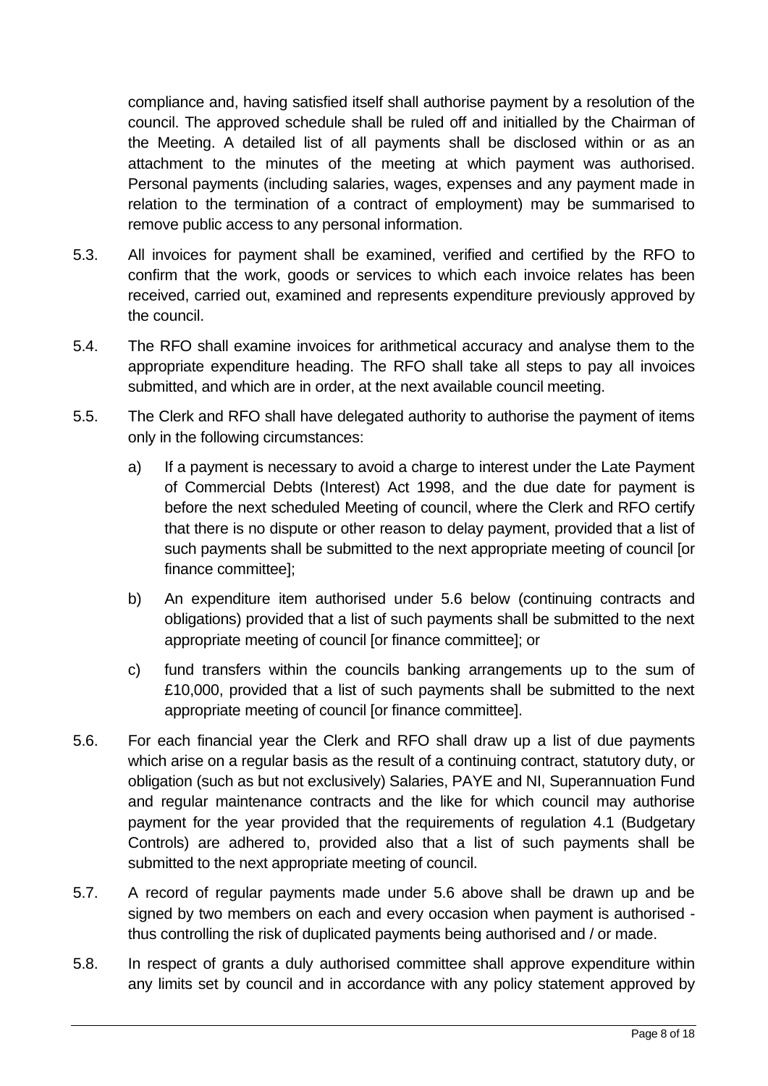compliance and, having satisfied itself shall authorise payment by a resolution of the council. The approved schedule shall be ruled off and initialled by the Chairman of the Meeting. A detailed list of all payments shall be disclosed within or as an attachment to the minutes of the meeting at which payment was authorised. Personal payments (including salaries, wages, expenses and any payment made in relation to the termination of a contract of employment) may be summarised to remove public access to any personal information.

- 5.3. All invoices for payment shall be examined, verified and certified by the RFO to confirm that the work, goods or services to which each invoice relates has been received, carried out, examined and represents expenditure previously approved by the council.
- 5.4. The RFO shall examine invoices for arithmetical accuracy and analyse them to the appropriate expenditure heading. The RFO shall take all steps to pay all invoices submitted, and which are in order, at the next available council meeting.
- 5.5. The Clerk and RFO shall have delegated authority to authorise the payment of items only in the following circumstances:
	- a) If a payment is necessary to avoid a charge to interest under the Late Payment of Commercial Debts (Interest) Act 1998, and the due date for payment is before the next scheduled Meeting of council, where the Clerk and RFO certify that there is no dispute or other reason to delay payment, provided that a list of such payments shall be submitted to the next appropriate meeting of council [or finance committee];
	- b) An expenditure item authorised under 5.6 below (continuing contracts and obligations) provided that a list of such payments shall be submitted to the next appropriate meeting of council [or finance committee]; or
	- c) fund transfers within the councils banking arrangements up to the sum of £10,000, provided that a list of such payments shall be submitted to the next appropriate meeting of council [or finance committee].
- 5.6. For each financial year the Clerk and RFO shall draw up a list of due payments which arise on a regular basis as the result of a continuing contract, statutory duty, or obligation (such as but not exclusively) Salaries, PAYE and NI, Superannuation Fund and regular maintenance contracts and the like for which council may authorise payment for the year provided that the requirements of regulation 4.1 (Budgetary Controls) are adhered to, provided also that a list of such payments shall be submitted to the next appropriate meeting of council.
- 5.7. A record of regular payments made under 5.6 above shall be drawn up and be signed by two members on each and every occasion when payment is authorised thus controlling the risk of duplicated payments being authorised and / or made.
- 5.8. In respect of grants a duly authorised committee shall approve expenditure within any limits set by council and in accordance with any policy statement approved by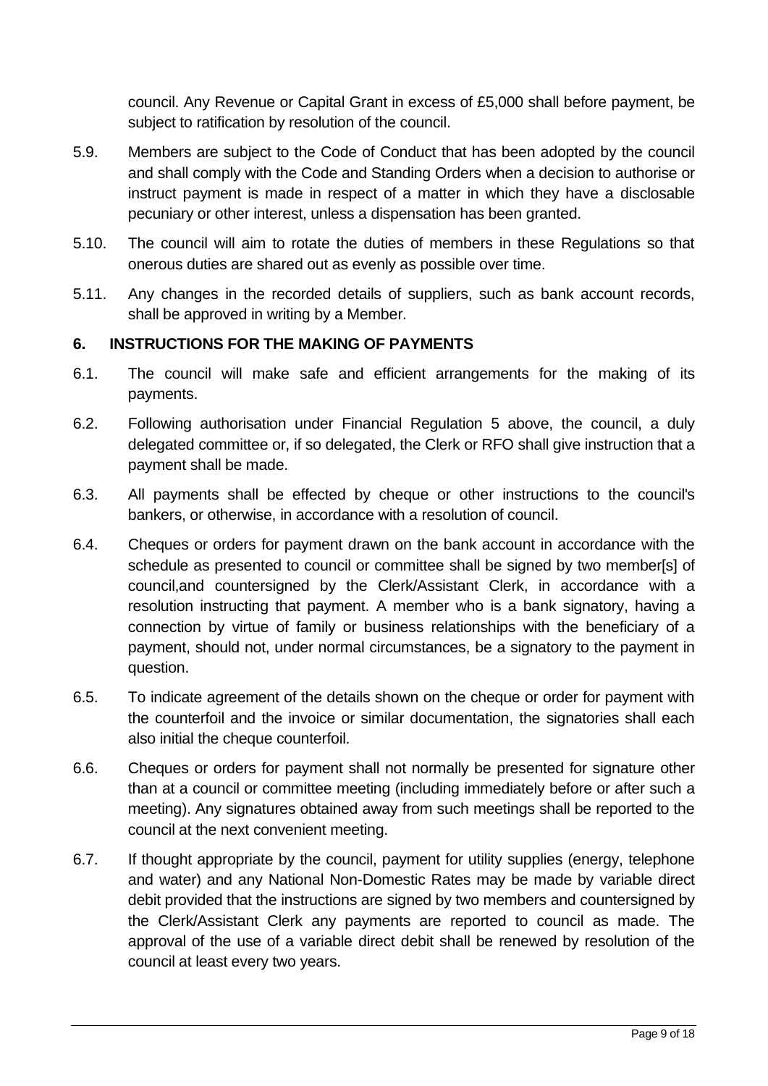council. Any Revenue or Capital Grant in excess of £5,000 shall before payment, be subject to ratification by resolution of the council.

- 5.9. Members are subject to the Code of Conduct that has been adopted by the council and shall comply with the Code and Standing Orders when a decision to authorise or instruct payment is made in respect of a matter in which they have a disclosable pecuniary or other interest, unless a dispensation has been granted.
- 5.10. The council will aim to rotate the duties of members in these Regulations so that onerous duties are shared out as evenly as possible over time.
- 5.11. Any changes in the recorded details of suppliers, such as bank account records, shall be approved in writing by a Member.

### <span id="page-8-0"></span>**6. INSTRUCTIONS FOR THE MAKING OF PAYMENTS**

- 6.1. The council will make safe and efficient arrangements for the making of its payments.
- 6.2. Following authorisation under Financial Regulation 5 above, the council, a duly delegated committee or, if so delegated, the Clerk or RFO shall give instruction that a payment shall be made.
- 6.3. All payments shall be effected by cheque or other instructions to the council's bankers, or otherwise, in accordance with a resolution of council.
- 6.4. Cheques or orders for payment drawn on the bank account in accordance with the schedule as presented to council or committee shall be signed by two member[s] of council,and countersigned by the Clerk/Assistant Clerk, in accordance with a resolution instructing that payment. A member who is a bank signatory, having a connection by virtue of family or business relationships with the beneficiary of a payment, should not, under normal circumstances, be a signatory to the payment in question.
- 6.5. To indicate agreement of the details shown on the cheque or order for payment with the counterfoil and the invoice or similar documentation, the signatories shall each also initial the cheque counterfoil.
- 6.6. Cheques or orders for payment shall not normally be presented for signature other than at a council or committee meeting (including immediately before or after such a meeting). Any signatures obtained away from such meetings shall be reported to the council at the next convenient meeting.
- 6.7. If thought appropriate by the council, payment for utility supplies (energy, telephone and water) and any National Non-Domestic Rates may be made by variable direct debit provided that the instructions are signed by two members and countersigned by the Clerk/Assistant Clerk any payments are reported to council as made. The approval of the use of a variable direct debit shall be renewed by resolution of the council at least every two years.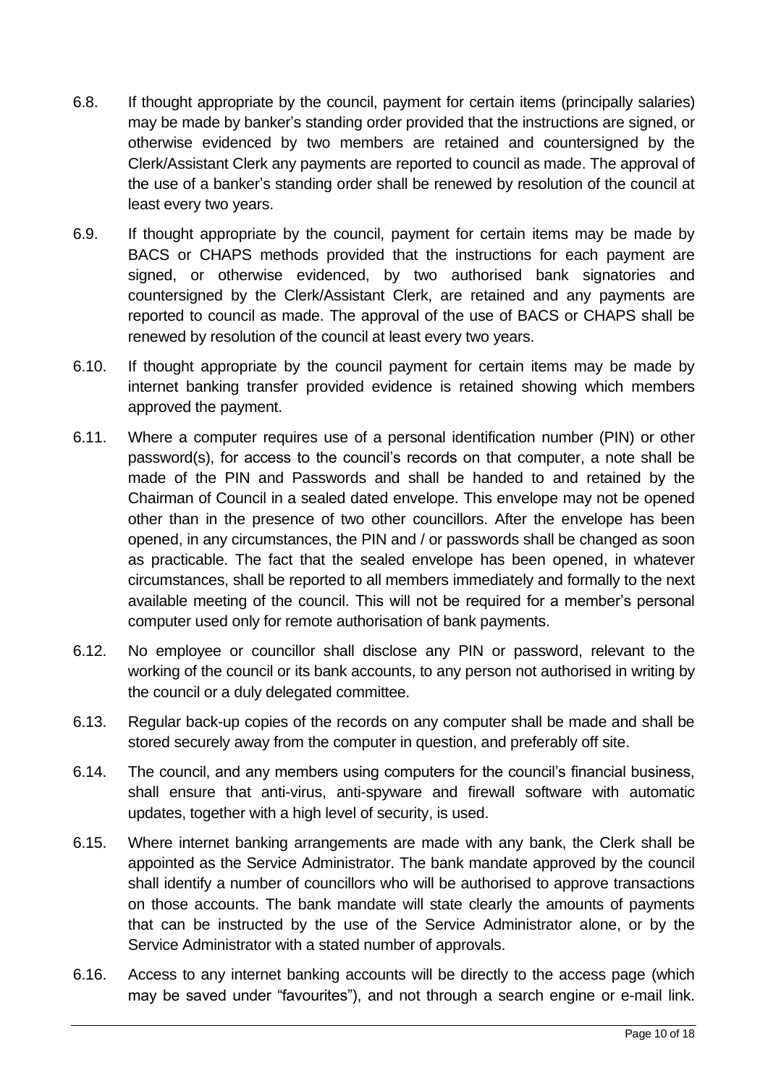- 6.8. If thought appropriate by the council, payment for certain items (principally salaries) may be made by banker's standing order provided that the instructions are signed, or otherwise evidenced by two members are retained and countersigned by the Clerk/Assistant Clerk any payments are reported to council as made. The approval of the use of a banker's standing order shall be renewed by resolution of the council at least every two years.
- 6.9. If thought appropriate by the council, payment for certain items may be made by BACS or CHAPS methods provided that the instructions for each payment are signed, or otherwise evidenced, by two authorised bank signatories and countersigned by the Clerk/Assistant Clerk, are retained and any payments are reported to council as made. The approval of the use of BACS or CHAPS shall be renewed by resolution of the council at least every two years.
- 6.10. If thought appropriate by the council payment for certain items may be made by internet banking transfer provided evidence is retained showing which members approved the payment.
- 6.11. Where a computer requires use of a personal identification number (PIN) or other password(s), for access to the council's records on that computer, a note shall be made of the PIN and Passwords and shall be handed to and retained by the Chairman of Council in a sealed dated envelope. This envelope may not be opened other than in the presence of two other councillors. After the envelope has been opened, in any circumstances, the PIN and / or passwords shall be changed as soon as practicable. The fact that the sealed envelope has been opened, in whatever circumstances, shall be reported to all members immediately and formally to the next available meeting of the council. This will not be required for a member's personal computer used only for remote authorisation of bank payments.
- 6.12. No employee or councillor shall disclose any PIN or password, relevant to the working of the council or its bank accounts, to any person not authorised in writing by the council or a duly delegated committee.
- 6.13. Regular back-up copies of the records on any computer shall be made and shall be stored securely away from the computer in question, and preferably off site.
- 6.14. The council, and any members using computers for the council's financial business, shall ensure that anti-virus, anti-spyware and firewall software with automatic updates, together with a high level of security, is used.
- 6.15. Where internet banking arrangements are made with any bank, the Clerk shall be appointed as the Service Administrator. The bank mandate approved by the council shall identify a number of councillors who will be authorised to approve transactions on those accounts. The bank mandate will state clearly the amounts of payments that can be instructed by the use of the Service Administrator alone, or by the Service Administrator with a stated number of approvals.
- 6.16. Access to any internet banking accounts will be directly to the access page (which may be saved under "favourites"), and not through a search engine or e-mail link.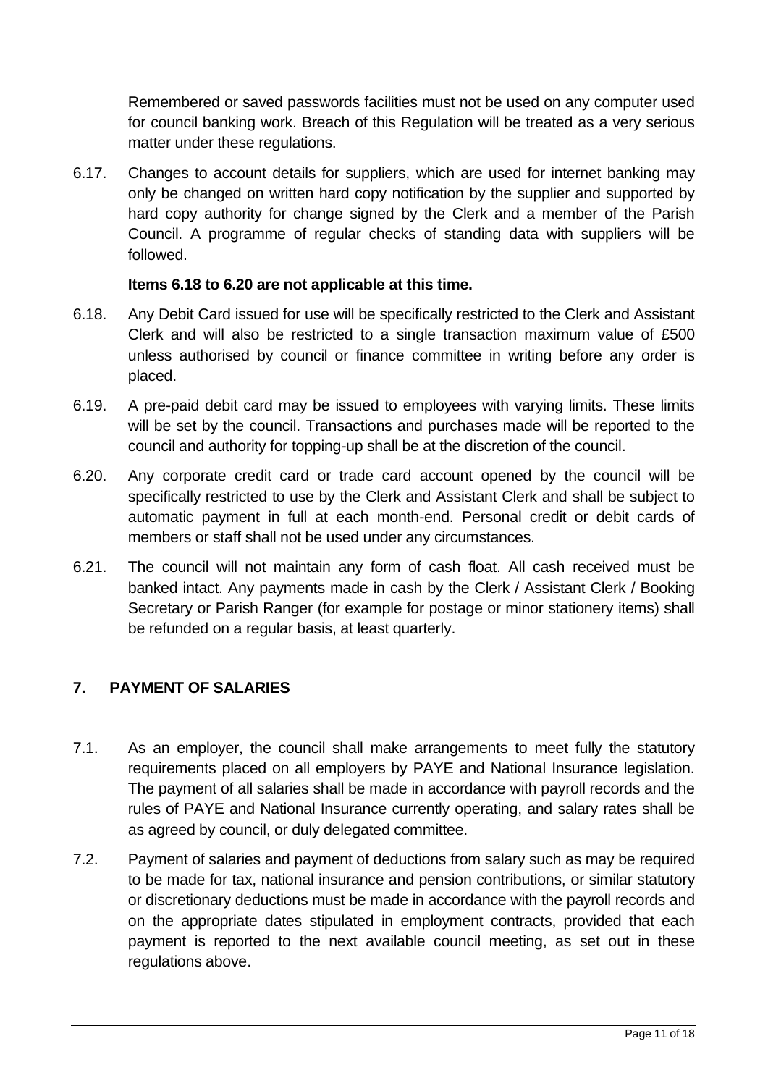Remembered or saved passwords facilities must not be used on any computer used for council banking work. Breach of this Regulation will be treated as a very serious matter under these regulations.

6.17. Changes to account details for suppliers, which are used for internet banking may only be changed on written hard copy notification by the supplier and supported by hard copy authority for change signed by the Clerk and a member of the Parish Council. A programme of regular checks of standing data with suppliers will be followed.

#### **Items 6.18 to 6.20 are not applicable at this time.**

- 6.18. Any Debit Card issued for use will be specifically restricted to the Clerk and Assistant Clerk and will also be restricted to a single transaction maximum value of £500 unless authorised by council or finance committee in writing before any order is placed.
- 6.19. A pre-paid debit card may be issued to employees with varying limits. These limits will be set by the council. Transactions and purchases made will be reported to the council and authority for topping-up shall be at the discretion of the council.
- 6.20. Any corporate credit card or trade card account opened by the council will be specifically restricted to use by the Clerk and Assistant Clerk and shall be subject to automatic payment in full at each month-end. Personal credit or debit cards of members or staff shall not be used under any circumstances.
- 6.21. The council will not maintain any form of cash float. All cash received must be banked intact. Any payments made in cash by the Clerk / Assistant Clerk / Booking Secretary or Parish Ranger (for example for postage or minor stationery items) shall be refunded on a regular basis, at least quarterly.

# <span id="page-10-0"></span>**7. PAYMENT OF SALARIES**

- 7.1. As an employer, the council shall make arrangements to meet fully the statutory requirements placed on all employers by PAYE and National Insurance legislation. The payment of all salaries shall be made in accordance with payroll records and the rules of PAYE and National Insurance currently operating, and salary rates shall be as agreed by council, or duly delegated committee.
- 7.2. Payment of salaries and payment of deductions from salary such as may be required to be made for tax, national insurance and pension contributions, or similar statutory or discretionary deductions must be made in accordance with the payroll records and on the appropriate dates stipulated in employment contracts, provided that each payment is reported to the next available council meeting, as set out in these regulations above.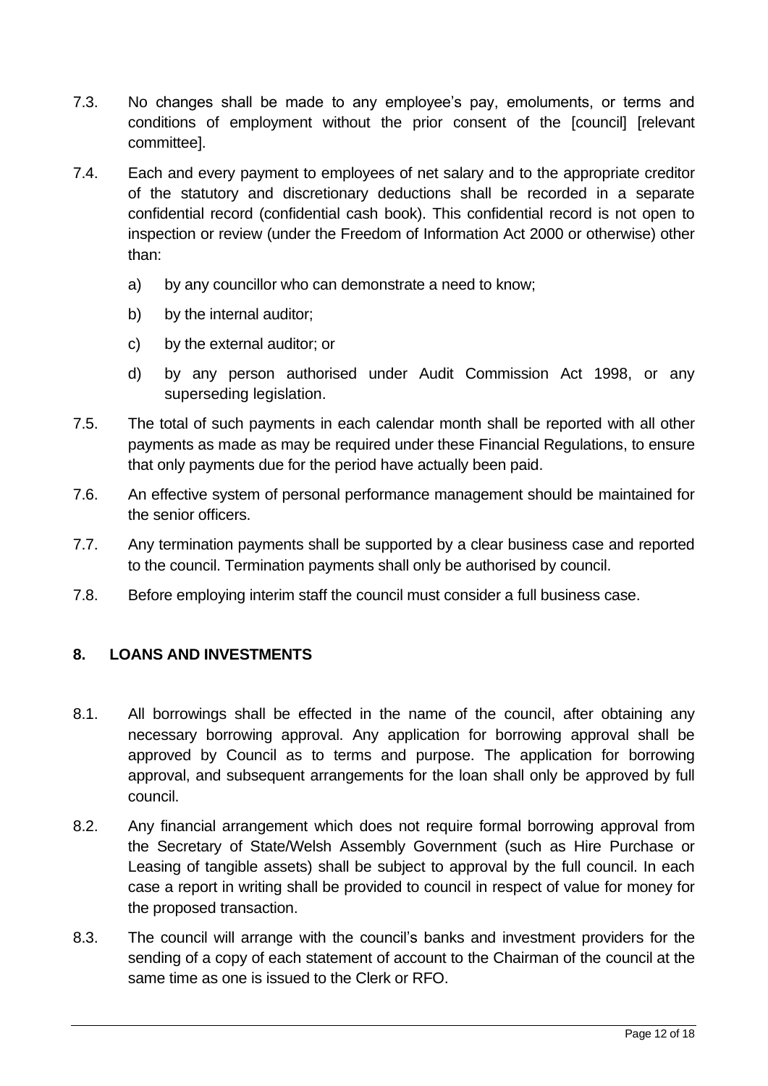- 7.3. No changes shall be made to any employee's pay, emoluments, or terms and conditions of employment without the prior consent of the [council] [relevant committee].
- 7.4. Each and every payment to employees of net salary and to the appropriate creditor of the statutory and discretionary deductions shall be recorded in a separate confidential record (confidential cash book). This confidential record is not open to inspection or review (under the Freedom of Information Act 2000 or otherwise) other than:
	- a) by any councillor who can demonstrate a need to know;
	- b) by the internal auditor:
	- c) by the external auditor; or
	- d) by any person authorised under Audit Commission Act 1998, or any superseding legislation.
- 7.5. The total of such payments in each calendar month shall be reported with all other payments as made as may be required under these Financial Regulations, to ensure that only payments due for the period have actually been paid.
- 7.6. An effective system of personal performance management should be maintained for the senior officers.
- 7.7. Any termination payments shall be supported by a clear business case and reported to the council. Termination payments shall only be authorised by council.
- 7.8. Before employing interim staff the council must consider a full business case.

### <span id="page-11-0"></span>**8. LOANS AND INVESTMENTS**

- 8.1. All borrowings shall be effected in the name of the council, after obtaining any necessary borrowing approval. Any application for borrowing approval shall be approved by Council as to terms and purpose. The application for borrowing approval, and subsequent arrangements for the loan shall only be approved by full council.
- 8.2. Any financial arrangement which does not require formal borrowing approval from the Secretary of State/Welsh Assembly Government (such as Hire Purchase or Leasing of tangible assets) shall be subject to approval by the full council. In each case a report in writing shall be provided to council in respect of value for money for the proposed transaction.
- 8.3. The council will arrange with the council's banks and investment providers for the sending of a copy of each statement of account to the Chairman of the council at the same time as one is issued to the Clerk or RFO.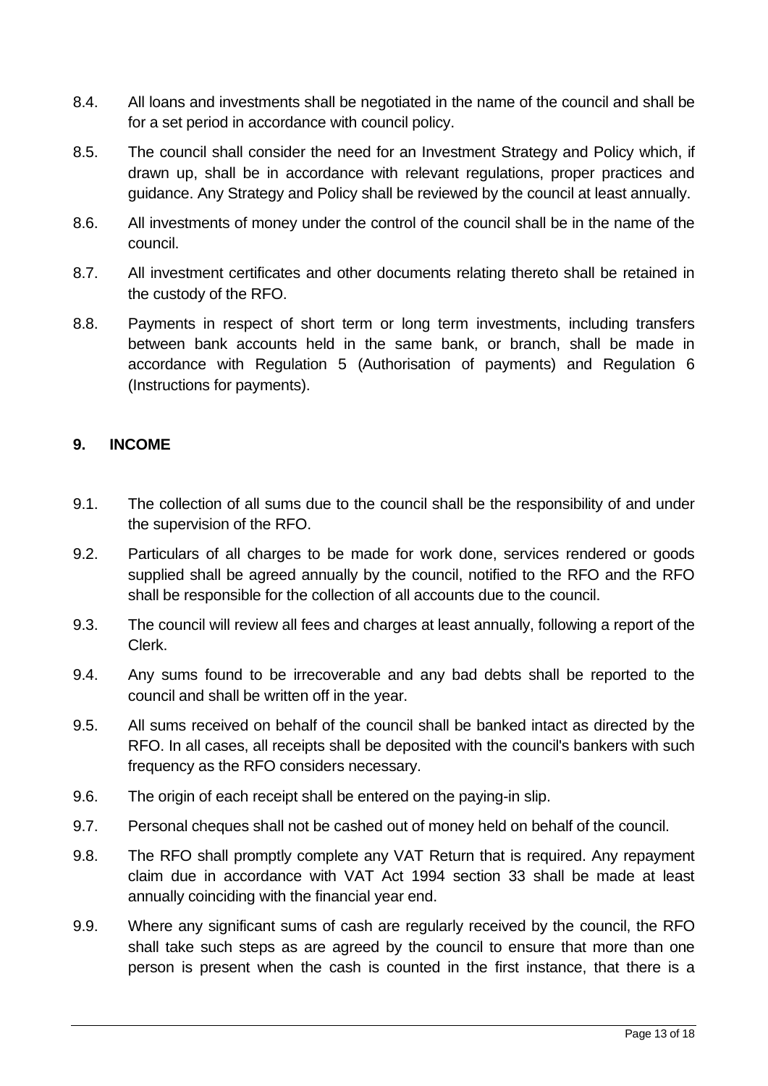- 8.4. All loans and investments shall be negotiated in the name of the council and shall be for a set period in accordance with council policy.
- 8.5. The council shall consider the need for an Investment Strategy and Policy which, if drawn up, shall be in accordance with relevant regulations, proper practices and guidance. Any Strategy and Policy shall be reviewed by the council at least annually.
- 8.6. All investments of money under the control of the council shall be in the name of the council.
- 8.7. All investment certificates and other documents relating thereto shall be retained in the custody of the RFO.
- 8.8. Payments in respect of short term or long term investments, including transfers between bank accounts held in the same bank, or branch, shall be made in accordance with Regulation 5 (Authorisation of payments) and Regulation 6 (Instructions for payments).

# <span id="page-12-0"></span>**9. INCOME**

- 9.1. The collection of all sums due to the council shall be the responsibility of and under the supervision of the RFO.
- 9.2. Particulars of all charges to be made for work done, services rendered or goods supplied shall be agreed annually by the council, notified to the RFO and the RFO shall be responsible for the collection of all accounts due to the council.
- 9.3. The council will review all fees and charges at least annually, following a report of the Clerk.
- 9.4. Any sums found to be irrecoverable and any bad debts shall be reported to the council and shall be written off in the year.
- 9.5. All sums received on behalf of the council shall be banked intact as directed by the RFO. In all cases, all receipts shall be deposited with the council's bankers with such frequency as the RFO considers necessary.
- 9.6. The origin of each receipt shall be entered on the paying-in slip.
- 9.7. Personal cheques shall not be cashed out of money held on behalf of the council.
- 9.8. The RFO shall promptly complete any VAT Return that is required. Any repayment claim due in accordance with VAT Act 1994 section 33 shall be made at least annually coinciding with the financial year end.
- 9.9. Where any significant sums of cash are regularly received by the council, the RFO shall take such steps as are agreed by the council to ensure that more than one person is present when the cash is counted in the first instance, that there is a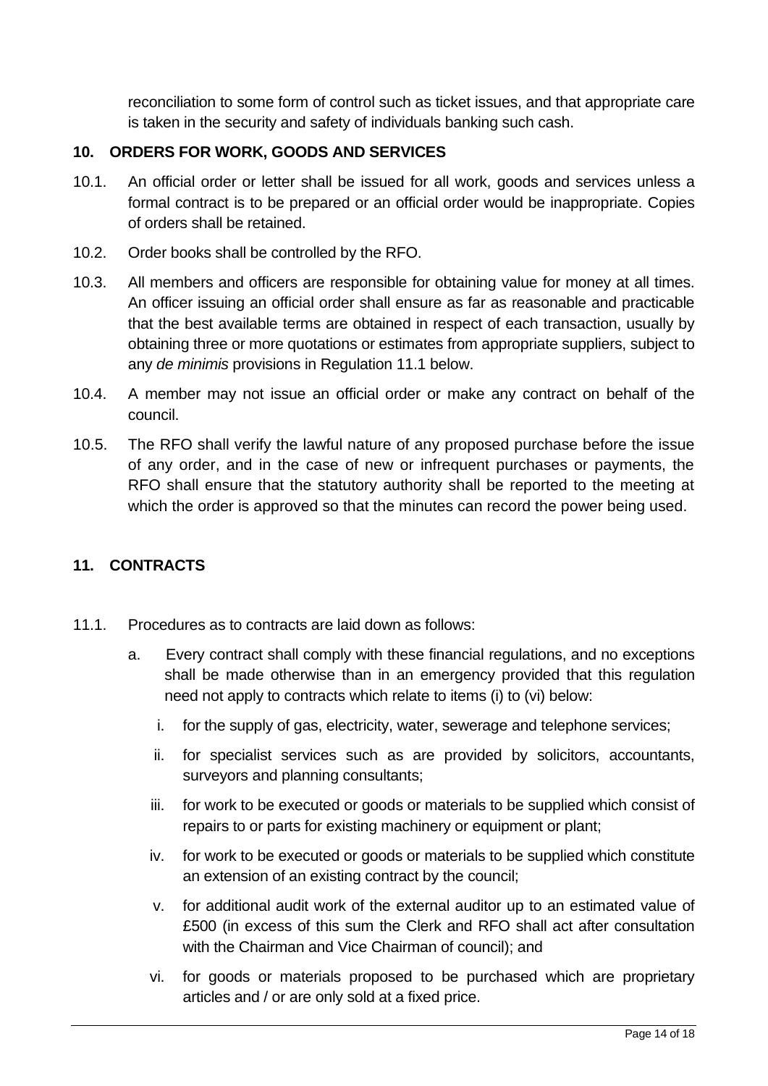reconciliation to some form of control such as ticket issues, and that appropriate care is taken in the security and safety of individuals banking such cash.

## <span id="page-13-0"></span>**10. ORDERS FOR WORK, GOODS AND SERVICES**

- 10.1. An official order or letter shall be issued for all work, goods and services unless a formal contract is to be prepared or an official order would be inappropriate. Copies of orders shall be retained.
- 10.2. Order books shall be controlled by the RFO.
- 10.3. All members and officers are responsible for obtaining value for money at all times. An officer issuing an official order shall ensure as far as reasonable and practicable that the best available terms are obtained in respect of each transaction, usually by obtaining three or more quotations or estimates from appropriate suppliers, subject to any *de minimis* provisions in Regulation 11.1 below.
- 10.4. A member may not issue an official order or make any contract on behalf of the council.
- 10.5. The RFO shall verify the lawful nature of any proposed purchase before the issue of any order, and in the case of new or infrequent purchases or payments, the RFO shall ensure that the statutory authority shall be reported to the meeting at which the order is approved so that the minutes can record the power being used.

### <span id="page-13-1"></span>**11. CONTRACTS**

- 11.1. Procedures as to contracts are laid down as follows:
	- a. Every contract shall comply with these financial regulations, and no exceptions shall be made otherwise than in an emergency provided that this regulation need not apply to contracts which relate to items (i) to (vi) below:
		- i. for the supply of gas, electricity, water, sewerage and telephone services;
		- ii. for specialist services such as are provided by solicitors, accountants, surveyors and planning consultants;
		- iii. for work to be executed or goods or materials to be supplied which consist of repairs to or parts for existing machinery or equipment or plant;
		- iv. for work to be executed or goods or materials to be supplied which constitute an extension of an existing contract by the council;
		- v. for additional audit work of the external auditor up to an estimated value of £500 (in excess of this sum the Clerk and RFO shall act after consultation with the Chairman and Vice Chairman of council); and
		- vi. for goods or materials proposed to be purchased which are proprietary articles and / or are only sold at a fixed price.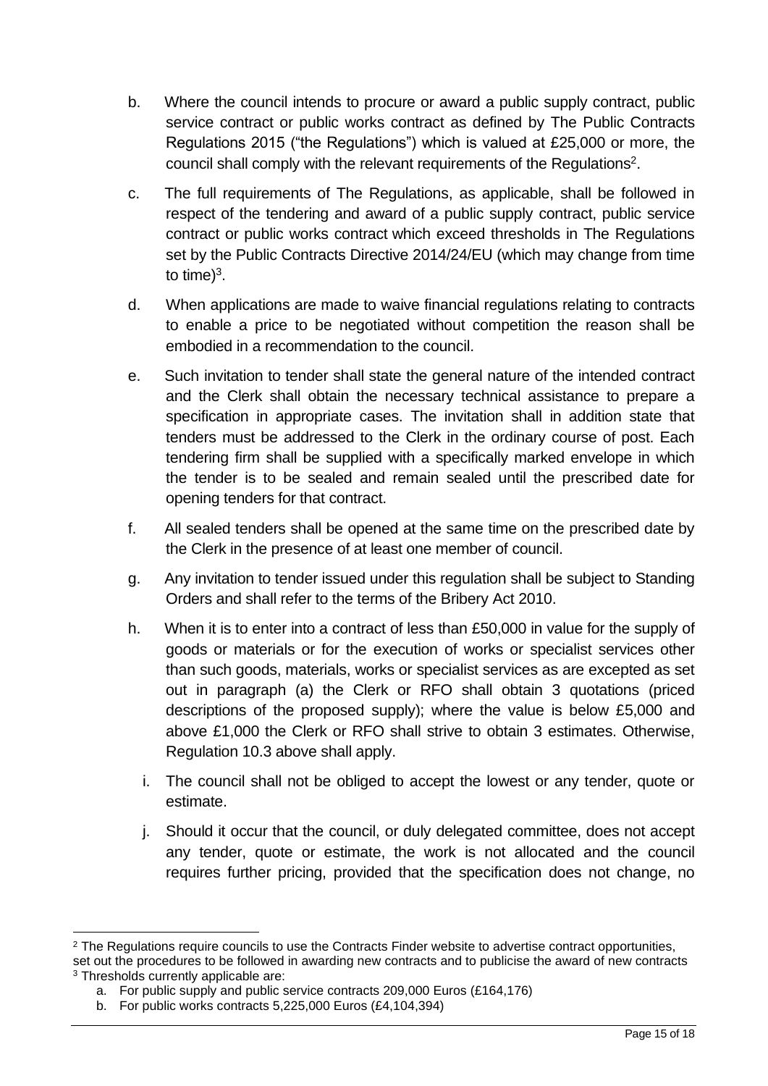- b. Where the council intends to procure or award a public supply contract, public service contract or public works contract as defined by The Public Contracts Regulations 2015 ("the Regulations") which is valued at £25,000 or more, the council shall comply with the relevant requirements of the Regulations<sup>2</sup>.
- c. The full requirements of The Regulations, as applicable, shall be followed in respect of the tendering and award of a public supply contract, public service contract or public works contract which exceed thresholds in The Regulations set by the Public Contracts Directive 2014/24/EU (which may change from time to time) $3$ .
- d. When applications are made to waive financial regulations relating to contracts to enable a price to be negotiated without competition the reason shall be embodied in a recommendation to the council.
- e. Such invitation to tender shall state the general nature of the intended contract and the Clerk shall obtain the necessary technical assistance to prepare a specification in appropriate cases. The invitation shall in addition state that tenders must be addressed to the Clerk in the ordinary course of post. Each tendering firm shall be supplied with a specifically marked envelope in which the tender is to be sealed and remain sealed until the prescribed date for opening tenders for that contract.
- f. All sealed tenders shall be opened at the same time on the prescribed date by the Clerk in the presence of at least one member of council.
- g. Any invitation to tender issued under this regulation shall be subject to Standing Orders and shall refer to the terms of the Bribery Act 2010.
- h. When it is to enter into a contract of less than £50,000 in value for the supply of goods or materials or for the execution of works or specialist services other than such goods, materials, works or specialist services as are excepted as set out in paragraph (a) the Clerk or RFO shall obtain 3 quotations (priced descriptions of the proposed supply); where the value is below £5,000 and above £1,000 the Clerk or RFO shall strive to obtain 3 estimates. Otherwise, Regulation 10.3 above shall apply.
	- i. The council shall not be obliged to accept the lowest or any tender, quote or estimate.
	- j. Should it occur that the council, or duly delegated committee, does not accept any tender, quote or estimate, the work is not allocated and the council requires further pricing, provided that the specification does not change, no

<sup>&</sup>lt;sup>2</sup> The Regulations require councils to use the Contracts Finder website to advertise contract opportunities, set out the procedures to be followed in awarding new contracts and to publicise the award of new contracts <sup>3</sup> Thresholds currently applicable are:

a. For public supply and public service contracts 209,000 Euros (£164,176)

b. For public works contracts 5,225,000 Euros (£4,104,394)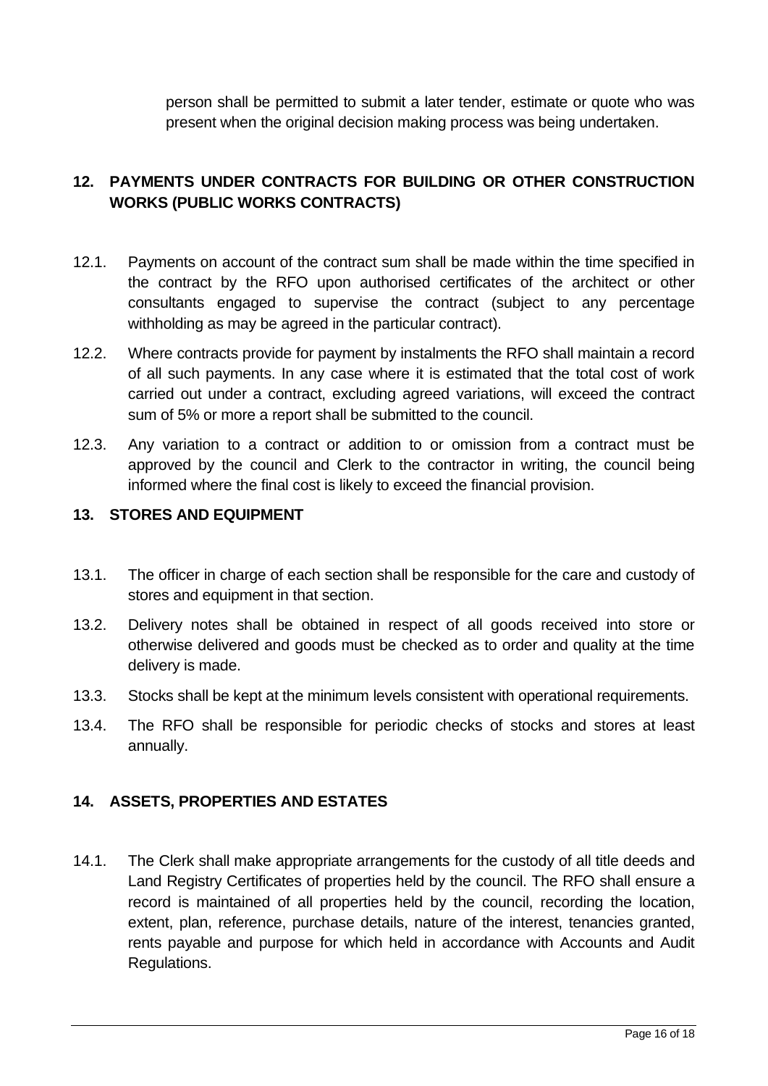person shall be permitted to submit a later tender, estimate or quote who was present when the original decision making process was being undertaken.

# <span id="page-15-0"></span>**12. PAYMENTS UNDER CONTRACTS FOR BUILDING OR OTHER CONSTRUCTION WORKS (PUBLIC WORKS CONTRACTS)**

- 12.1. Payments on account of the contract sum shall be made within the time specified in the contract by the RFO upon authorised certificates of the architect or other consultants engaged to supervise the contract (subject to any percentage withholding as may be agreed in the particular contract).
- 12.2. Where contracts provide for payment by instalments the RFO shall maintain a record of all such payments. In any case where it is estimated that the total cost of work carried out under a contract, excluding agreed variations, will exceed the contract sum of 5% or more a report shall be submitted to the council.
- 12.3. Any variation to a contract or addition to or omission from a contract must be approved by the council and Clerk to the contractor in writing, the council being informed where the final cost is likely to exceed the financial provision.

#### <span id="page-15-1"></span>**13. STORES AND EQUIPMENT**

- 13.1. The officer in charge of each section shall be responsible for the care and custody of stores and equipment in that section.
- 13.2. Delivery notes shall be obtained in respect of all goods received into store or otherwise delivered and goods must be checked as to order and quality at the time delivery is made.
- 13.3. Stocks shall be kept at the minimum levels consistent with operational requirements.
- 13.4. The RFO shall be responsible for periodic checks of stocks and stores at least annually.

### <span id="page-15-2"></span>**14. ASSETS, PROPERTIES AND ESTATES**

14.1. The Clerk shall make appropriate arrangements for the custody of all title deeds and Land Registry Certificates of properties held by the council. The RFO shall ensure a record is maintained of all properties held by the council, recording the location, extent, plan, reference, purchase details, nature of the interest, tenancies granted, rents payable and purpose for which held in accordance with Accounts and Audit Regulations.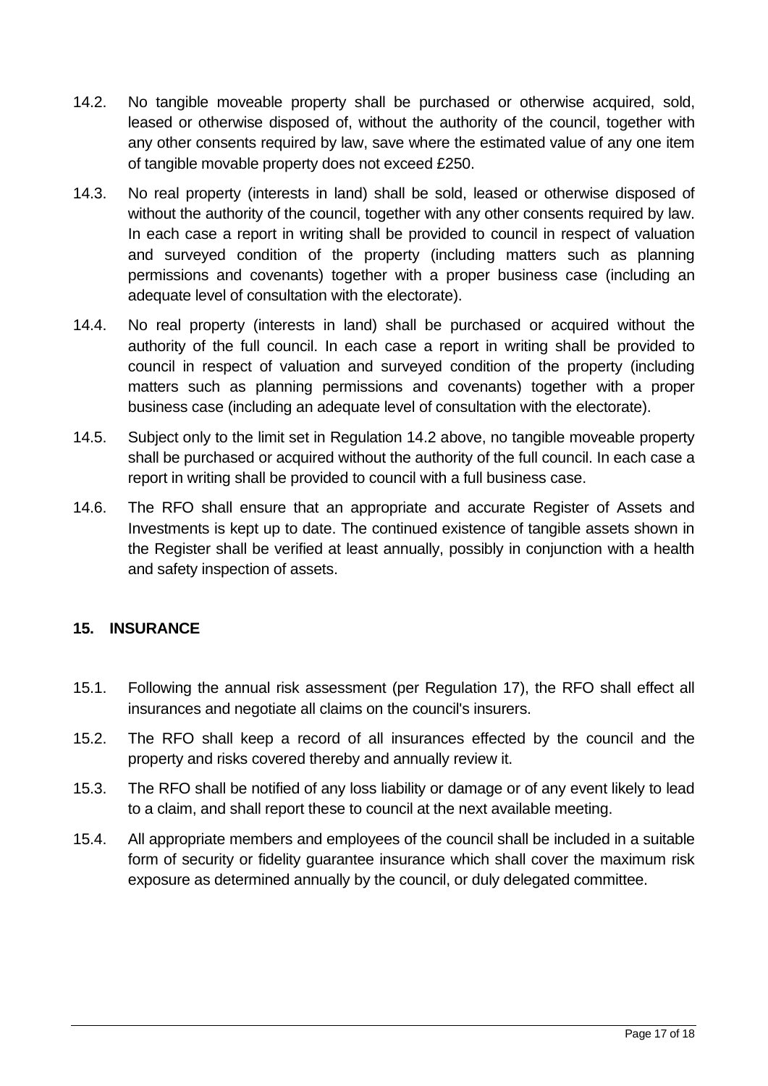- 14.2. No tangible moveable property shall be purchased or otherwise acquired, sold, leased or otherwise disposed of, without the authority of the council, together with any other consents required by law, save where the estimated value of any one item of tangible movable property does not exceed £250.
- 14.3. No real property (interests in land) shall be sold, leased or otherwise disposed of without the authority of the council, together with any other consents required by law. In each case a report in writing shall be provided to council in respect of valuation and surveyed condition of the property (including matters such as planning permissions and covenants) together with a proper business case (including an adequate level of consultation with the electorate).
- 14.4. No real property (interests in land) shall be purchased or acquired without the authority of the full council. In each case a report in writing shall be provided to council in respect of valuation and surveyed condition of the property (including matters such as planning permissions and covenants) together with a proper business case (including an adequate level of consultation with the electorate).
- 14.5. Subject only to the limit set in Regulation 14.2 above, no tangible moveable property shall be purchased or acquired without the authority of the full council. In each case a report in writing shall be provided to council with a full business case.
- 14.6. The RFO shall ensure that an appropriate and accurate Register of Assets and Investments is kept up to date. The continued existence of tangible assets shown in the Register shall be verified at least annually, possibly in conjunction with a health and safety inspection of assets.

### <span id="page-16-0"></span>**15. INSURANCE**

- 15.1. Following the annual risk assessment (per Regulation 17), the RFO shall effect all insurances and negotiate all claims on the council's insurers.
- 15.2. The RFO shall keep a record of all insurances effected by the council and the property and risks covered thereby and annually review it.
- 15.3. The RFO shall be notified of any loss liability or damage or of any event likely to lead to a claim, and shall report these to council at the next available meeting.
- 15.4. All appropriate members and employees of the council shall be included in a suitable form of security or fidelity guarantee insurance which shall cover the maximum risk exposure as determined annually by the council, or duly delegated committee.